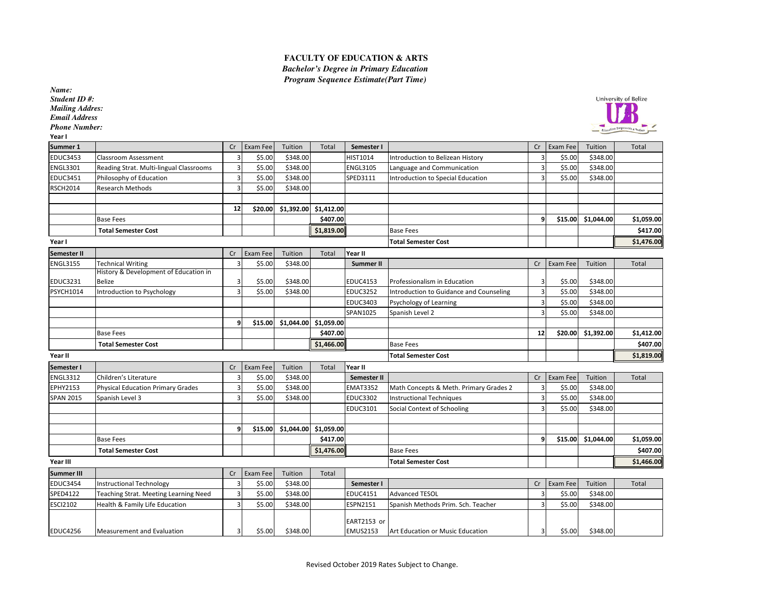## **FACULTY OF EDUCATION & ARTS** *Bachelor's Degree in Primary EducationProgram Sequence Estimate(Part Time)*

*Name: Student ID #: Mailing Addres:Email Address*

*Phone Number:*

Year I



| Year I            |                                          |                |          |            |            |                  |                                         |                |          |                    |            |
|-------------------|------------------------------------------|----------------|----------|------------|------------|------------------|-----------------------------------------|----------------|----------|--------------------|------------|
| Summer 1          |                                          | Cr             | Exam Fee | Tuition    | Total      | Semester I       |                                         | Cr             | Exam Fee | Tuition            | Total      |
| <b>EDUC3453</b>   | <b>Classroom Assessment</b>              | 3              | \$5.00   | \$348.00   |            | HIST1014         | Introduction to Belizean History        |                | \$5.00   | \$348.00           |            |
| <b>ENGL3301</b>   | Reading Strat. Multi-lingual Classrooms  | 3              | \$5.00   | \$348.00   |            | <b>ENGL3105</b>  | Language and Communication              | ς              | \$5.00   | \$348.00           |            |
| <b>EDUC3451</b>   | Philosophy of Education                  | 3              | \$5.00   | \$348.00   |            | SPED3111         | Introduction to Special Education       | 3              | \$5.00   | \$348.00           |            |
| <b>RSCH2014</b>   | <b>Research Methods</b>                  | $\overline{3}$ | \$5.00   | \$348.00   |            |                  |                                         |                |          |                    |            |
|                   |                                          |                |          |            |            |                  |                                         |                |          |                    |            |
|                   |                                          | 12             | \$20.00  | \$1,392.00 | \$1,412.00 |                  |                                         |                |          |                    |            |
|                   | <b>Base Fees</b>                         |                |          |            | \$407.00   |                  |                                         | 9              |          | \$15.00 \$1,044.00 | \$1,059.00 |
|                   | <b>Total Semester Cost</b>               |                |          |            | \$1,819.00 |                  | <b>Base Fees</b>                        |                |          |                    | \$417.00   |
| Year I            |                                          |                |          |            |            |                  | <b>Total Semester Cost</b>              |                |          |                    | \$1,476.00 |
| Semester II       |                                          | Cr             | Exam Fee | Tuition    | Total      | Year II          |                                         |                |          |                    |            |
| <b>ENGL3155</b>   | <b>Technical Writing</b>                 | 3              | \$5.00   | \$348.00   |            | <b>Summer II</b> |                                         | Cr             | Exam Fee | Tuition            | Total      |
|                   | History & Development of Education in    |                |          |            |            |                  |                                         |                |          |                    |            |
| <b>EDUC3231</b>   | <b>Belize</b>                            | 3              | \$5.00   | \$348.00   |            | <b>EDUC4153</b>  | Professionalism in Education            | 3              | \$5.00   | \$348.00           |            |
| <b>PSYCH1014</b>  | Introduction to Psychology               | $\overline{3}$ | \$5.00   | \$348.00   |            | <b>EDUC3252</b>  | Introduction to Guidance and Counseling | $\overline{3}$ | \$5.00   | \$348.00           |            |
|                   |                                          |                |          |            |            | <b>EDUC3403</b>  | Psychology of Learning                  | $\overline{3}$ | \$5.00   | \$348.00           |            |
|                   |                                          |                |          |            |            | SPAN1025         | Spanish Level 2                         | 3              | \$5.00   | \$348.00           |            |
|                   |                                          | 9              | \$15.00  | \$1,044.00 | \$1,059.00 |                  |                                         |                |          |                    |            |
|                   | <b>Base Fees</b>                         |                |          |            | \$407.00   |                  |                                         | 12             | \$20.00  | \$1,392.00         | \$1,412.00 |
|                   | <b>Total Semester Cost</b>               |                |          |            | \$1,466.00 |                  | <b>Base Fees</b>                        |                |          |                    | \$407.00   |
| Year II           |                                          |                |          |            |            |                  | <b>Total Semester Cost</b>              |                |          |                    | \$1,819.00 |
| Semester I        |                                          | Cr             | Exam Fee | Tuition    | Total      | Year II          |                                         |                |          |                    |            |
| <b>ENGL3312</b>   | Children's Literature                    | 3              | \$5.00   | \$348.00   |            | Semester II      |                                         | Cr             | Exam Fee | Tuition            | Total      |
| EPHY2153          | <b>Physical Education Primary Grades</b> | 3              | \$5.00   | \$348.00   |            | <b>EMAT3352</b>  | Math Concepts & Meth. Primary Grades 2  | з              | \$5.00   | \$348.00           |            |
| <b>SPAN 2015</b>  | Spanish Level 3                          | 3              | \$5.00   | \$348.00   |            | <b>EDUC3302</b>  | <b>Instructional Techniques</b>         | $\overline{3}$ | \$5.00   | \$348.00           |            |
|                   |                                          |                |          |            |            | EDUC3101         | Social Context of Schooling             |                | \$5.00   | \$348.00           |            |
|                   |                                          |                |          |            |            |                  |                                         |                |          |                    |            |
|                   |                                          | 9              | \$15.00  | \$1,044.00 | \$1,059.00 |                  |                                         |                |          |                    |            |
|                   | <b>Base Fees</b>                         |                |          |            | \$417.00   |                  |                                         | 9              | \$15.00  | \$1,044.00         | \$1,059.00 |
|                   | <b>Total Semester Cost</b>               |                |          |            | \$1,476.00 |                  | <b>Base Fees</b>                        |                |          |                    | \$407.00   |
| Year III          |                                          |                |          |            |            |                  | <b>Total Semester Cost</b>              |                |          |                    | \$1,466.00 |
| <b>Summer III</b> |                                          | Cr             | Exam Fee | Tuition    | Total      |                  |                                         |                |          |                    |            |
| <b>EDUC3454</b>   | Instructional Technology                 | 3              | \$5.00   | \$348.00   |            | Semester I       |                                         | Cr             | Exam Fee | Tuition            | Total      |
| SPED4122          | Teaching Strat. Meeting Learning Need    | 3              | \$5.00   | \$348.00   |            | EDUC4151         | <b>Advanced TESOL</b>                   | ς              | \$5.00   | \$348.00           |            |
| <b>ESCI2102</b>   | Health & Family Life Education           | 3              | \$5.00   | \$348.00   |            | ESPN2151         | Spanish Methods Prim. Sch. Teacher      |                | \$5.00   | \$348.00           |            |
|                   |                                          |                |          |            |            |                  |                                         |                |          |                    |            |
|                   |                                          |                |          |            |            | EART2153 or      |                                         |                |          |                    |            |
| <b>EDUC4256</b>   | Measurement and Evaluation               | 3              | \$5.00   | \$348.00   |            | <b>EMUS2153</b>  | Art Education or Music Education        | $\overline{3}$ | \$5.00   | \$348.00           |            |